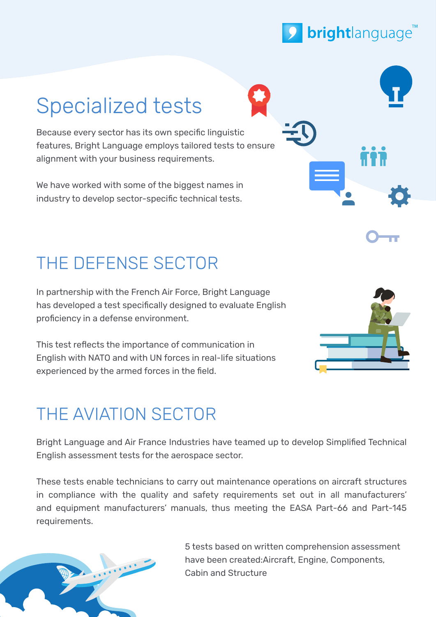

# Specialized tests

Because every sector has its own specific linguistic features, Bright Language employs tailored tests to ensure alignment with your business requirements.

We have worked with some of the biggest names in industry to develop sector-specific technical tests.

### THE DEFENSE SECTOR

In partnership with the French Air Force, Bright Language has developed a test specifically designed to evaluate English proficiency in a defense environment.

This test reflects the importance of communication in English with NATO and with UN forces in real-life situations experienced by the armed forces in the field.



### THE AVIATION SECTOR

Bright Language and Air France Industries have teamed up to develop Simplified Technical English assessment tests for the aerospace sector.

These tests enable technicians to carry out maintenance operations on aircraft structures in compliance with the quality and safety requirements set out in all manufacturers' and equipment manufacturers' manuals, thus meeting the EASA Part-66 and Part-145 requirements.



5 tests based on written comprehension assessment have been created:Aircraft, Engine, Components, Cabin and Structure